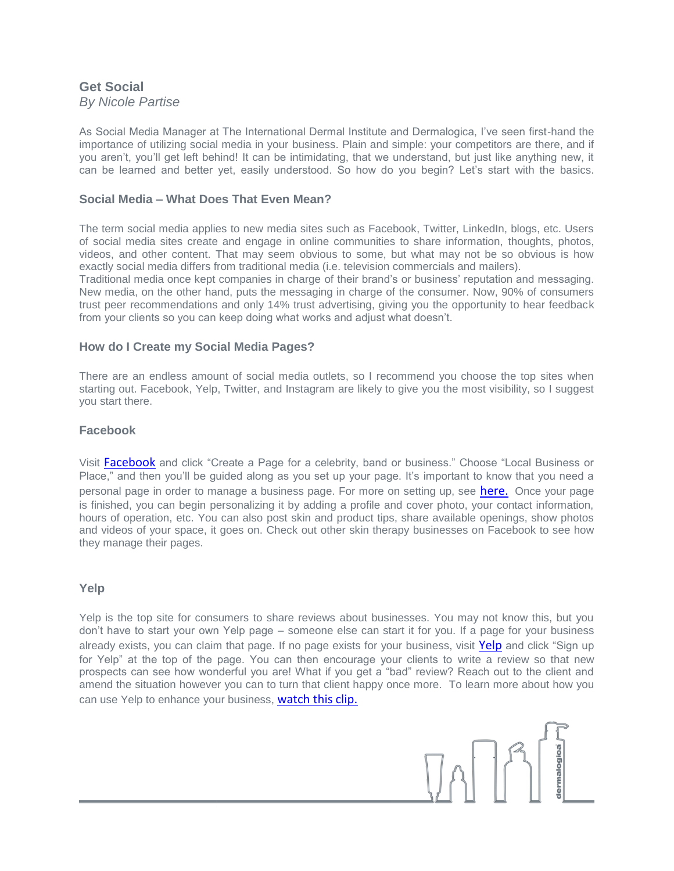## **Get Social** *By Nicole Partise*

As Social Media Manager at The International Dermal Institute and Dermalogica, I've seen first-hand the importance of utilizing social media in your business. Plain and simple: your competitors are there, and if you aren't, you'll get left behind! It can be intimidating, that we understand, but just like anything new, it can be learned and better yet, easily understood. So how do you begin? Let's start with the basics.

# **Social Media – What Does That Even Mean?**

The term social media applies to new media sites such as Facebook, Twitter, LinkedIn, blogs, etc. Users of social media sites create and engage in online communities to share information, thoughts, photos, videos, and other content. That may seem obvious to some, but what may not be so obvious is how exactly social media differs from traditional media (i.e. television commercials and mailers).

Traditional media once kept companies in charge of their brand's or business' reputation and messaging. New media, on the other hand, puts the messaging in charge of the consumer. Now, 90% of consumers trust peer recommendations and only 14% trust advertising, giving you the opportunity to hear feedback from your clients so you can keep doing what works and adjust what doesn't.

### **How do I Create my Social Media Pages?**

There are an endless amount of social media outlets, so I recommend you choose the top sites when starting out. Facebook, Yelp, Twitter, and Instagram are likely to give you the most visibility, so I suggest you start there.

#### **Facebook**

Visit [Facebook](http://www.facebook.com/) and click "Create a Page for a celebrity, band or business." Choose "Local Business or Place," and then you'll be guided along as you set up your page. It's important to know that you need a personal page in order to manage a business page. For more on setting up, see [here.](http://www.facebook.com/business/build) Once your page is finished, you can begin personalizing it by adding a profile and cover photo, your contact information, hours of operation, etc. You can also post skin and product tips, share available openings, show photos and videos of your space, it goes on. Check out other skin therapy businesses on Facebook to see how they manage their pages.

### **Yelp**

Yelp is the top site for consumers to share reviews about businesses. You may not know this, but you don't have to start your own Yelp page – someone else can start it for you. If a page for your business already exists, you can claim that page. If no page exists for your business, visit [Yelp](http://www.yelp.com/la) and click "Sign up for Yelp" at the top of the page. You can then encourage your clients to write a review so that new prospects can see how wonderful you are! What if you get a "bad" review? Reach out to the client and amend the situation however you can to turn that client happy once more. To learn more about how you can use Yelp to enhance your business, [watch this clip.](https://biz.yelp.com/)